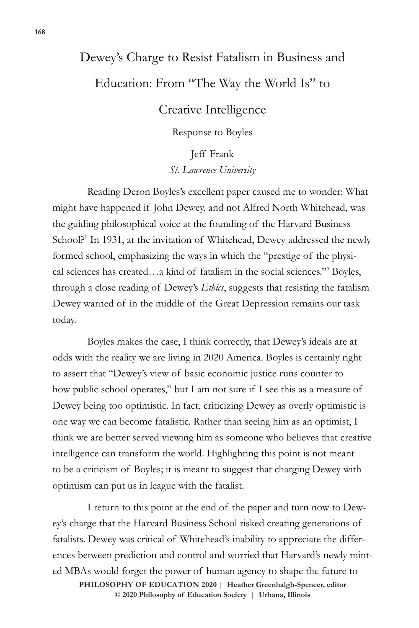## Dewey's Charge to Resist Fatalism in Business and Education: From "The Way the World Is" to

## Creative Intelligence

Response to Boyles

Jeff Frank *St. Lawrence University* 

Reading Deron Boyles's excellent paper caused me to wonder: What might have happened if John Dewey, and not Alfred North Whitehead, was the guiding philosophical voice at the founding of the Harvard Business School?<sup>1</sup> In 1931, at the invitation of Whitehead, Dewey addressed the newly formed school, emphasizing the ways in which the "prestige of the physical sciences has created…a kind of fatalism in the social sciences."2 Boyles, through a close reading of Dewey's *Ethics*, suggests that resisting the fatalism Dewey warned of in the middle of the Great Depression remains our task today.

Boyles makes the case, I think correctly, that Dewey's ideals are at odds with the reality we are living in 2020 America. Boyles is certainly right to assert that "Dewey's view of basic economic justice runs counter to how public school operates," but I am not sure if I see this as a measure of Dewey being too optimistic. In fact, criticizing Dewey as overly optimistic is one way we can become fatalistic. Rather than seeing him as an optimist, I think we are better served viewing him as someone who believes that creative intelligence can transform the world. Highlighting this point is not meant to be a criticism of Boyles; it is meant to suggest that charging Dewey with optimism can put us in league with the fatalist.

 $\odot$  2020 Philosophy of Education Society | Urbana, Illinois I return to this point at the end of the paper and turn now to Dewey's charge that the Harvard Business School risked creating generations of fatalists. Dewey was critical of Whitehead's inability to appreciate the differences between prediction and control and worried that Harvard's newly minted MBAs would forget the power of human agency to shape the future to **PHILOSOPHY OF EDUCATION 2020 | Heather Greenhalgh-Spencer, editor**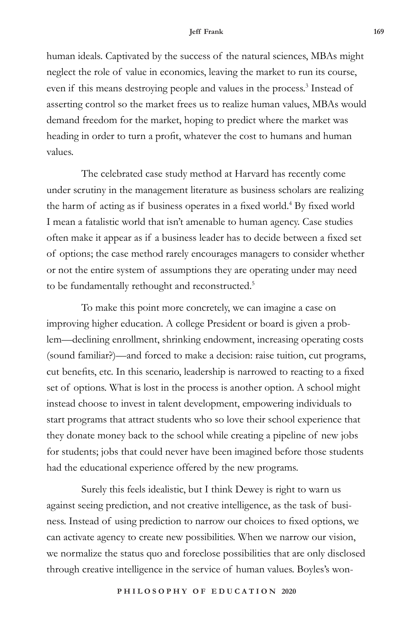human ideals. Captivated by the success of the natural sciences, MBAs might neglect the role of value in economics, leaving the market to run its course, even if this means destroying people and values in the process.<sup>3</sup> Instead of asserting control so the market frees us to realize human values, MBAs would demand freedom for the market, hoping to predict where the market was heading in order to turn a profit, whatever the cost to humans and human values.

The celebrated case study method at Harvard has recently come under scrutiny in the management literature as business scholars are realizing the harm of acting as if business operates in a fixed world.<sup>4</sup> By fixed world I mean a fatalistic world that isn't amenable to human agency. Case studies often make it appear as if a business leader has to decide between a fixed set of options; the case method rarely encourages managers to consider whether or not the entire system of assumptions they are operating under may need to be fundamentally rethought and reconstructed.<sup>5</sup>

To make this point more concretely, we can imagine a case on improving higher education. A college President or board is given a problem—declining enrollment, shrinking endowment, increasing operating costs (sound familiar?)—and forced to make a decision: raise tuition, cut programs, cut benefits, etc. In this scenario, leadership is narrowed to reacting to a fixed set of options. What is lost in the process is another option. A school might instead choose to invest in talent development, empowering individuals to start programs that attract students who so love their school experience that they donate money back to the school while creating a pipeline of new jobs for students; jobs that could never have been imagined before those students had the educational experience offered by the new programs.

Surely this feels idealistic, but I think Dewey is right to warn us against seeing prediction, and not creative intelligence, as the task of business. Instead of using prediction to narrow our choices to fixed options, we can activate agency to create new possibilities. When we narrow our vision, we normalize the status quo and foreclose possibilities that are only disclosed through creative intelligence in the service of human values. Boyles's won-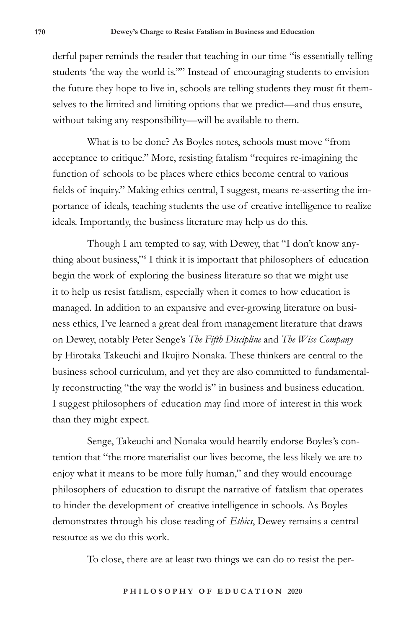derful paper reminds the reader that teaching in our time "is essentially telling students 'the way the world is.''" Instead of encouraging students to envision the future they hope to live in, schools are telling students they must fit themselves to the limited and limiting options that we predict—and thus ensure, without taking any responsibility—will be available to them.

What is to be done? As Boyles notes, schools must move "from acceptance to critique." More, resisting fatalism "requires re-imagining the function of schools to be places where ethics become central to various fields of inquiry." Making ethics central, I suggest, means re-asserting the importance of ideals, teaching students the use of creative intelligence to realize ideals. Importantly, the business literature may help us do this.

Though I am tempted to say, with Dewey, that "I don't know anything about business,"6 I think it is important that philosophers of education begin the work of exploring the business literature so that we might use it to help us resist fatalism, especially when it comes to how education is managed. In addition to an expansive and ever-growing literature on business ethics, I've learned a great deal from management literature that draws on Dewey, notably Peter Senge's *The Fifth Discipline* and *The Wise Company* by Hirotaka Takeuchi and Ikujiro Nonaka. These thinkers are central to the business school curriculum, and yet they are also committed to fundamentally reconstructing "the way the world is" in business and business education. I suggest philosophers of education may find more of interest in this work than they might expect.

Senge, Takeuchi and Nonaka would heartily endorse Boyles's contention that "the more materialist our lives become, the less likely we are to enjoy what it means to be more fully human," and they would encourage philosophers of education to disrupt the narrative of fatalism that operates to hinder the development of creative intelligence in schools. As Boyles demonstrates through his close reading of *Ethics*, Dewey remains a central resource as we do this work.

To close, there are at least two things we can do to resist the per-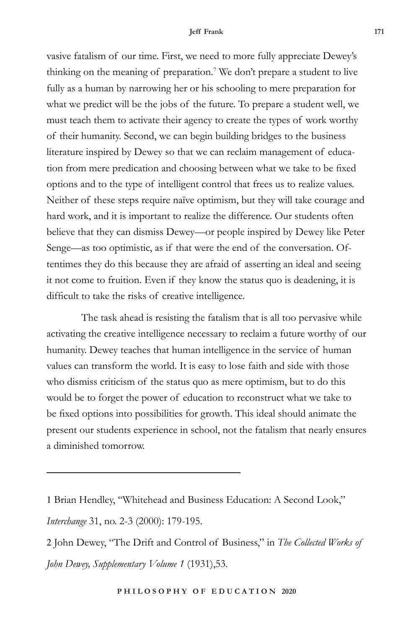vasive fatalism of our time. First, we need to more fully appreciate Dewey's thinking on the meaning of preparation.<sup>7</sup> We don't prepare a student to live fully as a human by narrowing her or his schooling to mere preparation for what we predict will be the jobs of the future. To prepare a student well, we must teach them to activate their agency to create the types of work worthy of their humanity. Second, we can begin building bridges to the business literature inspired by Dewey so that we can reclaim management of education from mere predication and choosing between what we take to be fixed options and to the type of intelligent control that frees us to realize values. Neither of these steps require naïve optimism, but they will take courage and hard work, and it is important to realize the difference. Our students often believe that they can dismiss Dewey—or people inspired by Dewey like Peter Senge—as too optimistic, as if that were the end of the conversation. Oftentimes they do this because they are afraid of asserting an ideal and seeing it not come to fruition. Even if they know the status quo is deadening, it is difficult to take the risks of creative intelligence.

The task ahead is resisting the fatalism that is all too pervasive while activating the creative intelligence necessary to reclaim a future worthy of our humanity. Dewey teaches that human intelligence in the service of human values can transform the world. It is easy to lose faith and side with those who dismiss criticism of the status quo as mere optimism, but to do this would be to forget the power of education to reconstruct what we take to be fixed options into possibilities for growth. This ideal should animate the present our students experience in school, not the fatalism that nearly ensures a diminished tomorrow.

<sup>1</sup> Brian Hendley, "Whitehead and Business Education: A Second Look," *Interchange* 31, no. 2-3 (2000): 179-195.

<sup>2</sup> John Dewey, "The Drift and Control of Business," in *The Collected Works of John Dewey, Supplementary Volume 1* (1931),53.